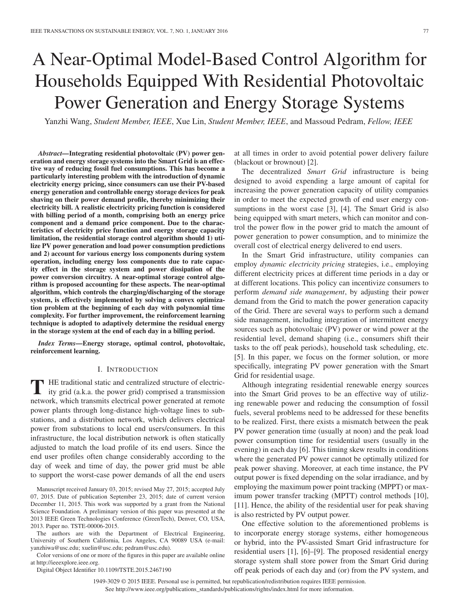# A Near-Optimal Model-Based Control Algorithm for Households Equipped With Residential Photovoltaic Power Generation and Energy Storage Systems

Yanzhi Wang, *Student Member, IEEE*, Xue Lin, *Student Member, IEEE*, and Massoud Pedram, *Fellow, IEEE*

*Abstract—***Integrating residential photovoltaic (PV) power generation and energy storage systems into the Smart Grid is an effective way of reducing fossil fuel consumptions. This has become a particularly interesting problem with the introduction of dynamic electricity energy pricing, since consumers can use their PV-based energy generation and controllable energy storage devices for peak shaving on their power demand profile, thereby minimizing their electricity bill. A realistic electricity pricing function is considered with billing period of a month, comprising both an energy price component and a demand price component. Due to the characteristics of electricity price function and energy storage capacity limitation, the residential storage control algorithm should 1) utilize PV power generation and load power consumption predictions and 2) account for various energy loss components during system operation, including energy loss components due to rate capacity effect in the storage system and power dissipation of the power conversion circuitry. A near-optimal storage control algorithm is proposed accounting for these aspects. The near-optimal algorithm, which controls the charging/discharging of the storage system, is effectively implemented by solving a convex optimization problem at the beginning of each day with polynomial time complexity. For further improvement, the reinforcement learning technique is adopted to adaptively determine the residual energy in the storage system at the end of each day in a billing period.**

*Index Terms—***Energy storage, optimal control, photovoltaic, reinforcement learning.**

## I. INTRODUCTION

**T** HE traditional static and centralized structure of electricity grid (a.k.a. the power grid) comprised a transmission network, which transmits electrical power generated at remote power plants through long-distance high-voltage lines to substations, and a distribution network, which delivers electrical power from substations to local end users/consumers. In this infrastructure, the local distribution network is often statically adjusted to match the load profile of its end users. Since the end user profiles often change considerably according to the day of week and time of day, the power grid must be able to support the worst-case power demands of all the end users

Manuscript received January 03, 2015; revised May 27, 2015; accepted July 07, 2015. Date of publication September 23, 2015; date of current version December 11, 2015. This work was supported by a grant from the National Science Foundation. A preliminary version of this paper was presented at the 2013 IEEE Green Technologies Conference (GreenTech), Denver, CO, USA, 2013. Paper no. TSTE-00006-2015.

The authors are with the Department of Electrical Engineering, University of Southern California, Los Angeles, CA 90089 USA (e-mail: yanzhiwa@usc.edu; xuelin@usc.edu; pedram@usc.edu).

Color versions of one or more of the figures in this paper are available online at http://ieeexplore.ieee.org.

Digital Object Identifier 10.1109/TSTE.2015.2467190

at all times in order to avoid potential power delivery failure (blackout or brownout) [2].

The decentralized *Smart Grid* infrastructure is being designed to avoid expending a large amount of capital for increasing the power generation capacity of utility companies in order to meet the expected growth of end user energy consumptions in the worst case [3], [4]. The Smart Grid is also being equipped with smart meters, which can monitor and control the power flow in the power grid to match the amount of power generation to power consumption, and to minimize the overall cost of electrical energy delivered to end users.

In the Smart Grid infrastructure, utility companies can employ *dynamic electricity pricing* strategies, i.e., employing different electricity prices at different time periods in a day or at different locations. This policy can incentivize consumers to perform *demand side management*, by adjusting their power demand from the Grid to match the power generation capacity of the Grid. There are several ways to perform such a demand side management, including integration of intermittent energy sources such as photovoltaic (PV) power or wind power at the residential level, demand shaping (i.e., consumers shift their tasks to the off peak periods), household task scheduling, etc. [5]. In this paper, we focus on the former solution, or more specifically, integrating PV power generation with the Smart Grid for residential usage.

Although integrating residential renewable energy sources into the Smart Grid proves to be an effective way of utilizing renewable power and reducing the consumption of fossil fuels, several problems need to be addressed for these benefits to be realized. First, there exists a mismatch between the peak PV power generation time (usually at noon) and the peak load power consumption time for residential users (usually in the evening) in each day [6]. This timing skew results in conditions where the generated PV power cannot be optimally utilized for peak power shaving. Moreover, at each time instance, the PV output power is fixed depending on the solar irradiance, and by employing the maximum power point tracking (MPPT) or maximum power transfer tracking (MPTT) control methods [10], [11]. Hence, the ability of the residential user for peak shaving is also restricted by PV output power.

One effective solution to the aforementioned problems is to incorporate energy storage systems, either homogeneous or hybrid, into the PV-assisted Smart Grid infrastructure for residential users [1], [6]–[9]. The proposed residential energy storage system shall store power from the Smart Grid during off peak periods of each day and (or) from the PV system, and

1949-3029 © 2015 IEEE. Personal use is permitted, but republication/redistribution requires IEEE permission.

See http://www.ieee.org/publications\_standards/publications/rights/index.html for more information.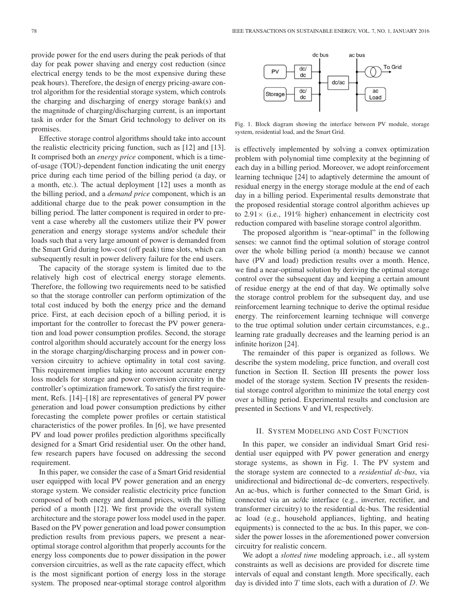provide power for the end users during the peak periods of that day for peak power shaving and energy cost reduction (since electrical energy tends to be the most expensive during these peak hours). Therefore, the design of energy pricing-aware control algorithm for the residential storage system, which controls the charging and discharging of energy storage bank(s) and the magnitude of charging/discharging current, is an important task in order for the Smart Grid technology to deliver on its promises.

Effective storage control algorithms should take into account the realistic electricity pricing function, such as [12] and [13]. It comprised both an *energy price* component, which is a timeof-usage (TOU)-dependent function indicating the unit energy price during each time period of the billing period (a day, or a month, etc.). The actual deployment [12] uses a month as the billing period, and a *demand price* component, which is an additional charge due to the peak power consumption in the billing period. The latter component is required in order to prevent a case whereby all the customers utilize their PV power generation and energy storage systems and/or schedule their loads such that a very large amount of power is demanded from the Smart Grid during low-cost (off peak) time slots, which can subsequently result in power delivery failure for the end users.

The capacity of the storage system is limited due to the relatively high cost of electrical energy storage elements. Therefore, the following two requirements need to be satisfied so that the storage controller can perform optimization of the total cost induced by both the energy price and the demand price. First, at each decision epoch of a billing period, it is important for the controller to forecast the PV power generation and load power consumption profiles. Second, the storage control algorithm should accurately account for the energy loss in the storage charging/discharging process and in power conversion circuitry to achieve optimality in total cost saving. This requirement implies taking into account accurate energy loss models for storage and power conversion circuitry in the controller's optimization framework. To satisfy the first requirement, Refs. [14]–[18] are representatives of general PV power generation and load power consumption predictions by either forecasting the complete power profiles or certain statistical characteristics of the power profiles. In [6], we have presented PV and load power profiles prediction algorithms specifically designed for a Smart Grid residential user. On the other hand, few research papers have focused on addressing the second requirement.

In this paper, we consider the case of a Smart Grid residential user equipped with local PV power generation and an energy storage system. We consider realistic electricity price function composed of both energy and demand prices, with the billing period of a month [12]. We first provide the overall system architecture and the storage power loss model used in the paper. Based on the PV power generation and load power consumption prediction results from previous papers, we present a nearoptimal storage control algorithm that properly accounts for the energy loss components due to power dissipation in the power conversion circuitries, as well as the rate capacity effect, which is the most significant portion of energy loss in the storage system. The proposed near-optimal storage control algorithm



Fig. 1. Block diagram showing the interface between PV module, storage system, residential load, and the Smart Grid.

is effectively implemented by solving a convex optimization problem with polynomial time complexity at the beginning of each day in a billing period. Moreover, we adopt reinforcement learning technique [24] to adaptively determine the amount of residual energy in the energy storage module at the end of each day in a billing period. Experimental results demonstrate that the proposed residential storage control algorithm achieves up to  $2.91 \times$  (i.e., 191% higher) enhancement in electricity cost reduction compared with baseline storage control algorithm.

The proposed algorithm is "near-optimal" in the following senses: we cannot find the optimal solution of storage control over the whole billing period (a month) because we cannot have (PV and load) prediction results over a month. Hence, we find a near-optimal solution by deriving the optimal storage control over the subsequent day and keeping a certain amount of residue energy at the end of that day. We optimally solve the storage control problem for the subsequent day, and use reinforcement learning technique to derive the optimal residue energy. The reinforcement learning technique will converge to the true optimal solution under certain circumstances, e.g., learning rate gradually decreases and the learning period is an infinite horizon [24].

The remainder of this paper is organized as follows. We describe the system modeling, price function, and overall cost function in Section II. Section III presents the power loss model of the storage system. Section IV presents the residential storage control algorithm to minimize the total energy cost over a billing period. Experimental results and conclusion are presented in Sections V and VI, respectively.

## II. SYSTEM MODELING AND COST FUNCTION

In this paper, we consider an individual Smart Grid residential user equipped with PV power generation and energy storage systems, as shown in Fig. 1. The PV system and the storage system are connected to a *residential dc-bus*, via unidirectional and bidirectional dc–dc converters, respectively. An ac-bus, which is further connected to the Smart Grid, is connected via an ac/dc interface (e.g., inverter, rectifier, and transformer circuitry) to the residential dc-bus. The residential ac load (e.g., household appliances, lighting, and heating equipments) is connected to the ac bus. In this paper, we consider the power losses in the aforementioned power conversion circuitry for realistic concern.

We adopt a *slotted time* modeling approach, i.e., all system constraints as well as decisions are provided for discrete time intervals of equal and constant length. More specifically, each day is divided into  $T$  time slots, each with a duration of  $D$ . We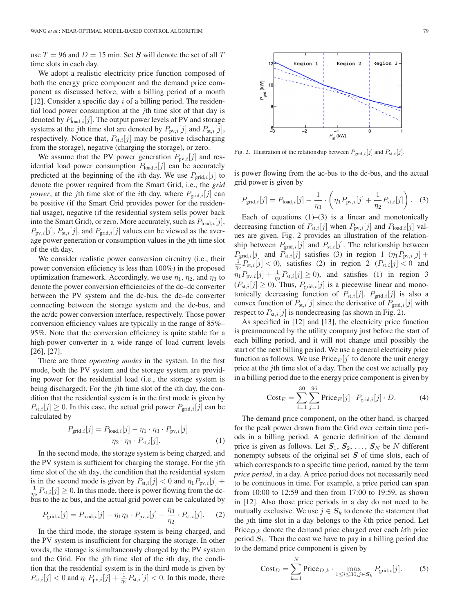use  $T = 96$  and  $D = 15$  min. Set *S* will denote the set of all T time slots in each day.

We adopt a realistic electricity price function composed of both the energy price component and the demand price component as discussed before, with a billing period of a month [12]. Consider a specific day  $i$  of a billing period. The residential load power consumption at the  $j$ th time slot of that day is denoted by  $P_{load,i}[j]$ . The output power levels of PV and storage systems at the jth time slot are denoted by  $P_{\text{pv},i}[j]$  and  $P_{\text{st},i}[j]$ , respectively. Notice that,  $P_{st,i}[j]$  may be positive (discharging from the storage), negative (charging the storage), or zero.

We assume that the PV power generation  $P_{\text{pv},i}[j]$  and residential load power consumption  $P_{load,i}[j]$  can be accurately predicted at the beginning of the *i*th day. We use  $P_{grid,i}[j]$  to denote the power required from the Smart Grid, i.e., the *grid power*, at the jth time slot of the *i*th day, where  $P_{grid,i}[j]$  can be positive (if the Smart Grid provides power for the residential usage), negative (if the residential system sells power back into the Smart Grid), or zero. More accurately, such as  $P_{load,i}[j]$ ,  $P_{\text{pv},i}[j], P_{\text{st},i}[j]$ , and  $P_{\text{grid},i}[j]$  values can be viewed as the average power generation or consumption values in the jth time slot of the ith day.

We consider realistic power conversion circuitry (i.e., their power conversion efficiency is less than 100%) in the proposed optimization framework. Accordingly, we use  $\eta_1$ ,  $\eta_2$ , and  $\eta_3$  to denote the power conversion efficiencies of the dc–dc converter between the PV system and the dc-bus, the dc–dc converter connecting between the storage system and the dc-bus, and the ac/dc power conversion interface, respectively. Those power conversion efficiency values are typically in the range of 85%– 95%. Note that the conversion efficiency is quite stable for a high-power converter in a wide range of load current levels [26], [27].

There are three *operating modes* in the system. In the first mode, both the PV system and the storage system are providing power for the residential load (i.e., the storage system is being discharged). For the jth time slot of the *i*th day, the condition that the residential system is in the first mode is given by  $P_{st,i}[j] \geq 0$ . In this case, the actual grid power  $P_{grid,i}[j]$  can be calculated by

$$
P_{\text{grid},i}[j] = P_{\text{load},i}[j] - \eta_1 \cdot \eta_3 \cdot P_{\text{pv},i}[j] - \eta_2 \cdot \eta_3 \cdot P_{\text{st},i}[j]. \tag{1}
$$

In the second mode, the storage system is being charged, and the PV system is sufficient for charging the storage. For the  $j$ th time slot of the *i*th day, the condition that the residential system is in the second mode is given by  $P_{st,i}[j] < 0$  and  $\eta_1 P_{pv,i}[j]$  +  $\frac{1}{\eta_2}P_{st,i}[j] \geq 0$ . In this mode, there is power flowing from the dcbus to the ac bus, and the actual grid power can be calculated by

$$
P_{\text{grid},i}[j] = P_{\text{load},i}[j] - \eta_1 \eta_3 \cdot P_{\text{pv},i}[j] - \frac{\eta_3}{\eta_2} \cdot P_{\text{st},i}[j]. \tag{2}
$$

In the third mode, the storage system is being charged, and the PV system is insufficient for charging the storage. In other words, the storage is simultaneously charged by the PV system and the Grid. For the jth time slot of the  $i$ th day, the condition that the residential system is in the third mode is given by  $P_{\text{st},i}[j] < 0$  and  $\eta_1 P_{\text{pv},i}[j] + \frac{1}{\eta_2} P_{\text{st},i}[j] < 0$ . In this mode, there



Fig. 2. Illustration of the relationship between  $P_{grid,i}[j]$  and  $P_{st,i}[j]$ .

is power flowing from the ac-bus to the dc-bus, and the actual grid power is given by

$$
P_{\text{grid},i}[j] = P_{\text{load},i}[j] - \frac{1}{\eta_3} \cdot \left( \eta_1 P_{\text{pv},i}[j] + \frac{1}{\eta_2} P_{\text{st},i}[j] \right). \tag{3}
$$

Each of equations  $(1)$ – $(3)$  is a linear and monotonically decreasing function of  $P_{st,i}[j]$  when  $P_{pv,i}[j]$  and  $P_{load,i}[j]$  values are given. Fig. 2 provides an illustration of the relationship between  $P_{\text{grid},i}[j]$  and  $P_{\text{st},i}[j]$ . The relationship between  $P_{\text{grid},i}[j]$  and  $P_{\text{st},i}[j]$  satisfies (3) in region 1  $(\eta_1 P_{\text{pv},i}[j] +$  $\frac{1}{\eta_2} P_{\text{st},i}[j] < 0$ , satisfies (2) in region 2  $(P_{\text{st},i}[j] < 0$  and  $\eta_1 P_{\text{pv},i}[j] + \frac{1}{\eta_2} P_{\text{st},i}[j] \ge 0$ , and satisfies (1) in region 3  $(P_{st,i}[j] \geq 0)$ . Thus,  $P_{grid,i}[j]$  is a piecewise linear and monotonically decreasing function of  $P_{st,i}[j]$ .  $P_{grid,i}[j]$  is also a convex function of  $P_{st,i}[j]$  since the derivative of  $P_{grid,i}[j]$  with respect to  $P_{st,i}[j]$  is nondecreasing (as shown in Fig. 2).

As specified in [12] and [13], the electricity price function is preannounced by the utility company just before the start of each billing period, and it will not change until possibly the start of the next billing period. We use a general electricity price function as follows. We use  $\text{Price}_E[j]$  to denote the unit energy price at the jth time slot of a day. Then the cost we actually pay in a billing period due to the energy price component is given by

$$
\text{Cost}_E = \sum_{i=1}^{30} \sum_{j=1}^{96} \text{Price}_E[j] \cdot P_{\text{grid},i}[j] \cdot D. \tag{4}
$$

The demand price component, on the other hand, is charged for the peak power drawn from the Grid over certain time periods in a billing period. A generic definition of the demand price is given as follows. Let  $S_1, S_2, \ldots, S_N$  be N different nonempty subsets of the original set *S* of time slots, each of which corresponds to a specific time period, named by the term *price period*, in a day. A price period does not necessarily need to be continuous in time. For example, a price period can span from 10:00 to 12:59 and then from 17:00 to 19:59, as shown in [12]. Also those price periods in a day do not need to be mutually exclusive. We use  $j \in S_k$  to denote the statement that the *j*th time slot in a day belongs to the  $k$ th price period. Let Price $D_k$  denote the demand price charged over each kth price period  $S_k$ . Then the cost we have to pay in a billing period due to the demand price component is given by

$$
Cost_D = \sum_{k=1}^{N} \text{Price}_{D,k} \cdot \max_{1 \le i \le 30, j \in S_k} P_{\text{grid},i}[j]. \tag{5}
$$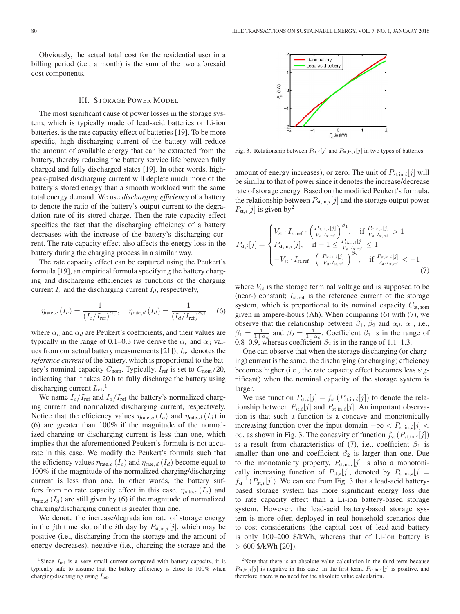Obviously, the actual total cost for the residential user in a billing period (i.e., a month) is the sum of the two aforesaid cost components.

### III. STORAGE POWER MODEL

The most significant cause of power losses in the storage system, which is typically made of lead-acid batteries or Li-ion batteries, is the rate capacity effect of batteries [19]. To be more specific, high discharging current of the battery will reduce the amount of available energy that can be extracted from the battery, thereby reducing the battery service life between fully charged and fully discharged states [19]. In other words, highpeak-pulsed discharging current will deplete much more of the battery's stored energy than a smooth workload with the same total energy demand. We use *discharging efficiency* of a battery to denote the ratio of the battery's output current to the degradation rate of its stored charge. Then the rate capacity effect specifies the fact that the discharging efficiency of a battery decreases with the increase of the battery's discharging current. The rate capacity effect also affects the energy loss in the battery during the charging process in a similar way.

The rate capacity effect can be captured using the Peukert's formula [19], an empirical formula specifying the battery charging and discharging efficiencies as functions of the charging current  $I_c$  and the discharging current  $I_d$ , respectively,

$$
\eta_{\text{rate},c}(I_c) = \frac{1}{(I_c/I_{\text{ref}})^{\alpha_c}}, \quad \eta_{\text{rate},d}(I_d) = \frac{1}{(I_d/I_{\text{ref}})^{\alpha_d}} \quad (6)
$$

where  $\alpha_c$  and  $\alpha_d$  are Peukert's coefficients, and their values are typically in the range of 0.1–0.3 (we derive the  $\alpha_c$  and  $\alpha_d$  values from our actual battery measurements [21]);  $I_{ref}$  denotes the *reference current* of the battery, which is proportional to the battery's nominal capacity  $C_{\text{nom}}$ . Typically,  $I_{\text{ref}}$  is set to  $C_{\text{nom}}/20$ , indicating that it takes 20 h to fully discharge the battery using discharging current  $I_{\text{ref.}}$ <sup>1</sup>

We name  $I_c/I_{ref}$  and  $I_d/I_{ref}$  the battery's normalized charging current and normalized discharging current, respectively. Notice that the efficiency values  $\eta_{\text{rate},c}$  ( $I_c$ ) and  $\eta_{\text{rate},d}$  ( $I_d$ ) in (6) are greater than 100% if the magnitude of the normalized charging or discharging current is less than one, which implies that the aforementioned Peukert's formula is not accurate in this case. We modify the Peukert's formula such that the efficiency values  $\eta_{\text{rate},c}$  ( $I_c$ ) and  $\eta_{\text{rate},d}$  ( $I_d$ ) become equal to 100% if the magnitude of the normalized charging/discharging current is less than one. In other words, the battery suffers from no rate capacity effect in this case.  $\eta_{\text{rate},c}$  ( $I_c$ ) and  $\eta_{\text{rate},d}$  ( $I_d$ ) are still given by (6) if the magnitude of normalized charging/discharging current is greater than one.

We denote the increase/degradation rate of storage energy in the jth time slot of the *i*th day by  $P_{st,in,i}[j]$ , which may be positive (i.e., discharging from the storage and the amount of energy decreases), negative (i.e., charging the storage and the



Fig. 3. Relationship between  $P_{st,i}[j]$  and  $P_{st,in,i}[j]$  in two types of batteries.

amount of energy increases), or zero. The unit of  $P_{st,in,i}[j]$  will be similar to that of power since it denotes the increase/decrease rate of storage energy. Based on the modified Peukert's formula, the relationship between  $P_{st,in,i}[j]$  and the storage output power  $P_{\text{st},i}[j]$  is given by<sup>2</sup>

$$
P_{\text{st},i}[j] = \begin{cases} V_{\text{st}} \cdot I_{\text{st,ref}} \cdot \left( \frac{P_{\text{st,in},i}[j]}{V_{\text{st}} \cdot I_{\text{st,ref}}} \right)^{\beta_1}, & \text{if } \frac{P_{\text{st,in},i}[j]}{V_{\text{st}} \cdot I_{\text{st,ref}}} > 1\\ P_{\text{st,in},i}[j], & \text{if } -1 \le \frac{P_{\text{st,in},i}[j]}{V_{\text{st}} \cdot I_{\text{st,ref}}} \le 1\\ -V_{\text{st}} \cdot I_{\text{st,ref}} \cdot \left( \frac{|P_{\text{st,in},i}[j]|}{V_{\text{st}} \cdot I_{\text{st,ref}}} \right)^{\beta_2}, & \text{if } \frac{P_{\text{st,in},i}[j]}{V_{\text{st}} \cdot I_{\text{st,ref}}} < -1\\ \end{cases} \tag{7}
$$

where  $V_{st}$  is the storage terminal voltage and is supposed to be (near-) constant;  $I_{\text{st,ref}}$  is the reference current of the storage system, which is proportional to its nominal capacity  $C_{\text{st,nom}}$ given in ampere-hours (Ah). When comparing (6) with (7), we observe that the relationship between  $\beta_1$ ,  $\beta_2$  and  $\alpha_d$ ,  $\alpha_c$ , i.e.,  $\beta_1 = \frac{1}{1+\alpha_d}$  and  $\beta_2 = \frac{1}{1-\alpha_c}$ . Coefficient  $\beta_1$  is in the range of 0.8–0.9, whereas coefficient  $\beta_2$  is in the range of 1.1–1.3.

One can observe that when the storage discharging (or charging) current is the same, the discharging (or charging) efficiency becomes higher (i.e., the rate capacity effect becomes less significant) when the nominal capacity of the storage system is larger.

We use function  $P_{st,i}[j] = f_{st}(P_{st,in,i}[j])$  to denote the relationship between  $P_{st,i}[j]$  and  $P_{st,in,i}[j]$ . An important observation is that such a function is a concave and monotonically increasing function over the input domain  $-\infty < P_{\text{st,in},i}[j]$  $\infty$ , as shown in Fig. 3. The concavity of function  $f_{st}(P_{st,in,i}[j])$ is a result from characteristics of (7), i.e., coefficient  $\beta_1$  is smaller than one and coefficient  $\beta_2$  is larger than one. Due to the monotonicity property,  $P_{st,in,i}[j]$  is also a monotonically increasing function of  $P_{st,i}[j]$ , denoted by  $P_{st,in,i}[j] =$  $f_{\rm st}^{-1}$   $(P_{\rm st,i}[j])$ . We can see from Fig. 3 that a lead-acid batterybased storage system has more significant energy loss due to rate capacity effect than a Li-ion battery-based storage system. However, the lead-acid battery-based storage system is more often deployed in real household scenarios due to cost considerations (the capital cost of lead-acid battery is only 100–200 \$/kWh, whereas that of Li-ion battery is  $> 600$  \$/kWh [20]).

<sup>&</sup>lt;sup>1</sup>Since *I*<sub>ref</sub> is a very small current compared with battery capacity, it is typically safe to assume that the battery efficiency is close to 100% when charging/discharging using *I*ref.

<sup>&</sup>lt;sup>2</sup>Note that there is an absolute value calculation in the third term because  $P_{\text{st},\text{in},i}[j]$  is negative in this case. In the first term,  $P_{\text{st},\text{in},i}[j]$  is positive, and therefore, there is no need for the absolute value calculation.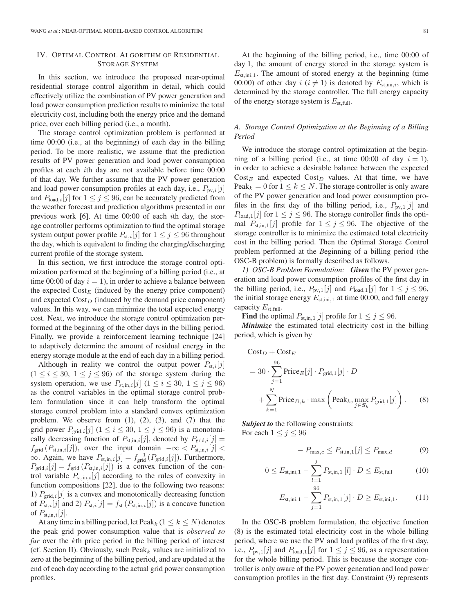## IV. OPTIMAL CONTROL ALGORITHM OF RESIDENTIAL STORAGE SYSTEM

In this section, we introduce the proposed near-optimal residential storage control algorithm in detail, which could effectively utilize the combination of PV power generation and load power consumption prediction results to minimize the total electricity cost, including both the energy price and the demand price, over each billing period (i.e., a month).

The storage control optimization problem is performed at time 00:00 (i.e., at the beginning) of each day in the billing period. To be more realistic, we assume that the prediction results of PV power generation and load power consumption profiles at each ith day are not available before time 00:00 of that day. We further assume that the PV power generation and load power consumption profiles at each day, i.e.,  $P_{\text{pv},i}[j]$ and  $P_{load,i}[j]$  for  $1 \leq j \leq 96$ , can be accurately predicted from the weather forecast and prediction algorithms presented in our previous work [6]. At time 00:00 of each ith day, the storage controller performs optimization to find the optimal storage system output power profile  $P_{st,i}[j]$  for  $1 \leq j \leq 96$  throughout the day, which is equivalent to finding the charging/discharging current profile of the storage system.

In this section, we first introduce the storage control optimization performed at the beginning of a billing period (i.e., at time 00:00 of day  $i = 1$ ), in order to achieve a balance between the expected  $Cost_E$  (induced by the energy price component) and expected  $Cost<sub>D</sub>$  (induced by the demand price component) values. In this way, we can minimize the total expected energy cost. Next, we introduce the storage control optimization performed at the beginning of the other days in the billing period. Finally, we provide a reinforcement learning technique [24] to adaptively determine the amount of residual energy in the energy storage module at the end of each day in a billing period.

Although in reality we control the output power  $P_{st,i}[j]$  $(1 \le i \le 30, 1 \le j \le 96)$  of the storage system during the system operation, we use  $P_{\text{st},\text{in},i}[j]$   $(1 \le i \le 30, 1 \le j \le 96)$ as the control variables in the optimal storage control problem formulation since it can help transform the optimal storage control problem into a standard convex optimization problem. We observe from  $(1)$ ,  $(2)$ ,  $(3)$ , and  $(7)$  that the grid power  $P_{\text{grid},i}[j]$  ( $1 \le i \le 30, 1 \le j \le 96$ ) is a monotonically decreasing function of  $P_{st,in,i}[j]$ , denoted by  $P_{grid,i}[j]$  =  $f_{\text{grid}}(P_{\text{st},\text{in},i}[j])$ , over the input domain  $-\infty < P_{\text{st},\text{in},i}[j]$  $\infty$ . Again, we have  $P_{st, \text{in}, i}[j] = f_{grid}^{-1}(P_{grid, i}[j])$ . Furthermore,  $P_{\text{grid},i}[j] = f_{\text{grid}}(P_{\text{st},\text{in},i}[j])$  is a convex function of the control variable  $P_{st,in,i}[j]$  according to the rules of convexity in function compositions [22], due to the following two reasons: 1)  $P_{\text{grid},i}[j]$  is a convex and monotonically decreasing function of  $P_{st,i}[j]$  and 2)  $P_{st,i}[j] = f_{st}(P_{st,in,i}[j])$  is a concave function of  $P_{\text{st.in.}i}[j]$ .

At any time in a billing period, let Peak<sub>k</sub>  $(1 \leq k \leq N)$  denotes the peak grid power consumption value that is *observed so far* over the kth price period in the billing period of interest (cf. Section II). Obviously, such Peak<sub>k</sub> values are initialized to zero at the beginning of the billing period, and are updated at the end of each day according to the actual grid power consumption profiles.

At the beginning of the billing period, i.e., time 00:00 of day 1, the amount of energy stored in the storage system is  $E_{\text{st,ini},1}$ . The amount of stored energy at the beginning (time 00:00) of other day  $i$  ( $i \neq 1$ ) is denoted by  $E_{\text{st,ini},i}$ , which is determined by the storage controller. The full energy capacity of the energy storage system is  $E_{\text{st,full}}$ .

## *A. Storage Control Optimization at the Beginning of a Billing Period*

We introduce the storage control optimization at the beginning of a billing period (i.e., at time 00:00 of day  $i = 1$ ), in order to achieve a desirable balance between the expected  $\text{Cost}_E$  and expected  $\text{Cost}_D$  values. At that time, we have Peak<sub>k</sub> = 0 for  $1 \le k \le N$ . The storage controller is only aware of the PV power generation and load power consumption profiles in the first day of the billing period, i.e.,  $P_{\text{pv},1}[j]$  and  $P_{load,1}[j]$  for  $1 \leq j \leq 96$ . The storage controller finds the optimal  $P_{\text{st},\text{in},1}[j]$  profile for  $1 \leq j \leq 96$ . The objective of the storage controller is to minimize the estimated total electricity cost in the billing period. Then the *O*ptimal *S*torage *C*ontrol problem performed at the *B*eginning of a billing period (the OSC-B problem) is formally described as follows.

*1) OSC-B Problem Formulation: Given* the PV power generation and load power consumption profiles of the first day in the billing period, i.e.,  $P_{\text{pv},1}[j]$  and  $P_{\text{load},1}[j]$  for  $1 \leq j \leq 96$ , the initial storage energy  $E_{\text{st,ini,1}}$  at time 00:00, and full energy capacity  $E_{\text{st,full}}$ .

**Find** the optimal  $P_{\text{st,in},1}[j]$  profile for  $1 \leq j \leq 96$ .

*Minimize* the estimated total electricity cost in the billing period, which is given by

$$
\begin{aligned} \n\text{Cost}_D &+ \text{Cost}_E \\ \n&= 30 \cdot \sum_{j=1}^{96} \text{Price}_E[j] \cdot P_{\text{grid},1}[j] \cdot D \\ \n&+ \sum_{k=1}^{N} \text{Price}_{D,k} \cdot \max \left( \text{Peak}_k, \max_{j \in S_k} P_{\text{grid},1}[j] \right). \n\end{aligned} \tag{8}
$$

*Subject to* the following constraints: For each  $1 \leq j \leq 96$ 

$$
- P_{\max,c} \leq P_{\text{st,in},1}[j] \leq P_{\max,d} \tag{9}
$$

$$
0 \le E_{\text{st,ini},1} - \sum_{l=1}^{j} P_{\text{st,in},1} [l] \cdot D \le E_{\text{st,full}} \tag{10}
$$

$$
E_{\text{st,ini},1} - \sum_{j=1}^{96} P_{\text{st,in},1}[j] \cdot D \ge E_{\text{st,ini},1}.\tag{11}
$$

In the OSC-B problem formulation, the objective function (8) is the estimated total electricity cost in the whole billing period, where we use the PV and load profiles of the first day, i.e.,  $P_{\text{pv},1}[j]$  and  $P_{\text{load},1}[j]$  for  $1 \leq j \leq 96$ , as a representation for the whole billing period. This is because the storage controller is only aware of the PV power generation and load power consumption profiles in the first day. Constraint (9) represents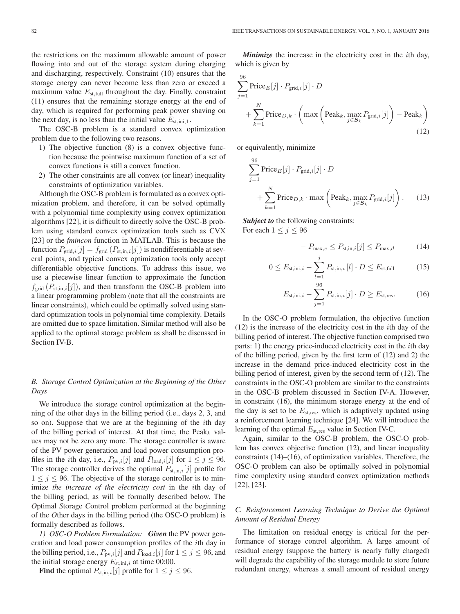the restrictions on the maximum allowable amount of power flowing into and out of the storage system during charging and discharging, respectively. Constraint (10) ensures that the storage energy can never become less than zero or exceed a maximum value  $E_{\text{st,full}}$  throughout the day. Finally, constraint (11) ensures that the remaining storage energy at the end of day, which is required for performing peak power shaving on the next day, is no less than the initial value  $E_{\text{st,ini,1}}$ .

The OSC-B problem is a standard convex optimization problem due to the following two reasons.

- 1) The objective function (8) is a convex objective function because the pointwise maximum function of a set of convex functions is still a convex function.
- 2) The other constraints are all convex (or linear) inequality constraints of optimization variables.

Although the OSC-B problem is formulated as a convex optimization problem, and therefore, it can be solved optimally with a polynomial time complexity using convex optimization algorithms [22], it is difficult to directly solve the OSC-B problem using standard convex optimization tools such as CVX [23] or the *fmincon* function in MATLAB. This is because the function  $P_{grid,i}[j] = f_{grid}(P_{st,in,i}[j])$  is nondifferentiable at several points, and typical convex optimization tools only accept differentiable objective functions. To address this issue, we use a piecewise linear function to approximate the function  $f_{grid}(P_{st,in,i}[j])$ , and then transform the OSC-B problem into a linear programming problem (note that all the constraints are linear constraints), which could be optimally solved using standard optimization tools in polynomial time complexity. Details are omitted due to space limitation. Similar method will also be applied to the optimal storage problem as shall be discussed in Section IV-B.

# *B. Storage Control Optimization at the Beginning of the Other Days*

We introduce the storage control optimization at the beginning of the other days in the billing period (i.e., days 2, 3, and so on). Suppose that we are at the beginning of the ith day of the billing period of interest. At that time, the  $Peak_k$  values may not be zero any more. The storage controller is aware of the PV power generation and load power consumption profiles in the *i*th day, i.e.,  $P_{\text{pv},i}[j]$  and  $P_{\text{load},i}[j]$  for  $1 \leq j \leq 96$ . The storage controller derives the optimal  $P_{st,in,i}[j]$  profile for  $1 \leq j \leq 96$ . The objective of the storage controller is to minimize *the increase of the electricity cost* in the ith day of the billing period, as will be formally described below. The *O*ptimal *S*torage *C*ontrol problem performed at the beginning of the *O*ther days in the billing period (the OSC-O problem) is formally described as follows.

*1) OSC-O Problem Formulation: Given* the PV power generation and load power consumption profiles of the ith day in the billing period, i.e.,  $P_{\text{pv},i}[j]$  and  $P_{\text{load},i}[j]$  for  $1 \leq j \leq 96$ , and the initial storage energy  $E_{\text{st,ini},i}$  at time 00:00.

**Find** the optimal  $P_{st,in,i}[j]$  profile for  $1 \leq j \leq 96$ .

*Minimize* the increase in the electricity cost in the ith day, which is given by

$$
\sum_{j=1}^{96} \text{Price}_E[j] \cdot P_{\text{grid},i}[j] \cdot D
$$
  
+ 
$$
\sum_{k=1}^{N} \text{Price}_{D,k} \cdot \left( \max \left( \text{Peak}_k, \max_{j \in S_k} P_{\text{grid},i}[j] \right) - \text{Peak}_k \right)
$$
  
(12)

or equivalently, minimize

$$
\sum_{j=1}^{96} \text{Price}_E[j] \cdot P_{\text{grid},i}[j] \cdot D
$$
  
+ 
$$
\sum_{k=1}^{N} \text{Price}_{D,k} \cdot \max\left(\text{Peak}_k, \max_{j \in S_k} P_{\text{grid},i}[j]\right).
$$
 (13)

*Subject to* the following constraints: For each  $1 \le j \le 96$ 

$$
- P_{\max,c} \leq P_{\text{st,in},i}[j] \leq P_{\max,d} \tag{14}
$$

$$
0 \le E_{\text{st,ini},i} - \sum_{l=1}^{j} P_{\text{st,in},i} [l] \cdot D \le E_{\text{st,full}} \tag{15}
$$

$$
E_{\text{st,ini},i} - \sum_{j=1}^{96} P_{\text{st,in},i}[j] \cdot D \ge E_{\text{st,res}}.
$$
 (16)

In the OSC-O problem formulation, the objective function (12) is the increase of the electricity cost in the ith day of the billing period of interest. The objective function comprised two parts: 1) the energy price-induced electricity cost in the ith day of the billing period, given by the first term of (12) and 2) the increase in the demand price-induced electricity cost in the billing period of interest, given by the second term of (12). The constraints in the OSC-O problem are similar to the constraints in the OSC-B problem discussed in Section IV-A. However, in constraint (16), the minimum storage energy at the end of the day is set to be  $E_{\text{st,res}}$ , which is adaptively updated using a reinforcement learning technique [24]. We will introduce the learning of the optimal  $E_{\text{st,res}}$  value in Section IV-C.

Again, similar to the OSC-B problem, the OSC-O problem has convex objective function (12), and linear inequality constraints (14)–(16), of optimization variables. Therefore, the OSC-O problem can also be optimally solved in polynomial time complexity using standard convex optimization methods [22], [23].

## *C. Reinforcement Learning Technique to Derive the Optimal Amount of Residual Energy*

The limitation on residual energy is critical for the performance of storage control algorithm. A large amount of residual energy (suppose the battery is nearly fully charged) will degrade the capability of the storage module to store future redundant energy, whereas a small amount of residual energy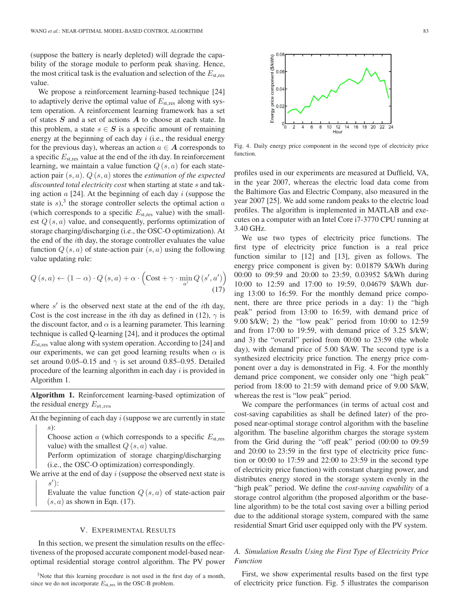(suppose the battery is nearly depleted) will degrade the capability of the storage module to perform peak shaving. Hence, the most critical task is the evaluation and selection of the  $E_{\rm st,res}$ value.

We propose a reinforcement learning-based technique [24] to adaptively derive the optimal value of  $E_{\text{st,res}}$  along with system operation. A reinforcement learning framework has a set of states *S* and a set of actions *A* to choose at each state. In this problem, a state  $s \in S$  is a specific amount of remaining energy at the beginning of each day  $i$  (i.e., the residual energy for the previous day), whereas an action  $a \in A$  corresponds to a specific  $E_{\text{st,res}}$  value at the end of the *i*th day. In reinforcement learning, we maintain a value function  $Q(s, a)$  for each stateaction pair (s, a). Q (s, a) stores the *estimation of the expected discounted total electricity cost* when starting at state s and taking action  $a$  [24]. At the beginning of each day i (suppose the state is s),<sup>3</sup> the storage controller selects the optimal action  $a$ (which corresponds to a specific  $E_{\text{st,res}}$  value) with the smallest  $Q(s, a)$  value, and consequently, performs optimization of storage charging/discharging (i.e., the OSC-O optimization). At the end of the ith day, the storage controller evaluates the value function  $Q(s, a)$  of state-action pair  $(s, a)$  using the following value updating rule:

$$
Q(s, a) \leftarrow (1 - \alpha) \cdot Q(s, a) + \alpha \cdot \left( \text{Cost} + \gamma \cdot \min_{a'} Q(s', a') \right) \tag{17}
$$

where  $s'$  is the observed next state at the end of the *i*th day, Cost is the cost increase in the *i*th day as defined in (12),  $\gamma$  is the discount factor, and  $\alpha$  is a learning parameter. This learning technique is called Q-learning [24], and it produces the optimal  $E_{\rm st, res}$  value along with system operation. According to [24] and our experiments, we can get good learning results when  $\alpha$  is set around 0.05–0.15 and  $\gamma$  is set around 0.85–0.95. Detailed procedure of the learning algorithm in each day  $i$  is provided in Algorithm 1.

**Algorithm 1.** Reinforcement learning-based optimization of the residual energy  $E_{\rm st,res}$ 

At the beginning of each day  $i$  (suppose we are currently in state s):

Choose action  $\alpha$  (which corresponds to a specific  $E_{\text{st,res}}$ value) with the smallest  $Q(s, a)$  value.

Perform optimization of storage charging/discharging (i.e., the OSC-O optimization) correspondingly.

We arrive at the end of day  $i$  (suppose the observed next state is s ):

Evaluate the value function  $Q(s, a)$  of state-action pair  $(s, a)$  as shown in Eqn. (17).

## V. EXPERIMENTAL RESULTS

In this section, we present the simulation results on the effectiveness of the proposed accurate component model-based nearoptimal residential storage control algorithm. The PV power

<sup>3</sup>Note that this learning procedure is not used in the first day of a month, since we do not incorporate *E*st*,*res in the OSC-B problem.



Fig. 4. Daily energy price component in the second type of electricity price function.

profiles used in our experiments are measured at Duffield, VA, in the year 2007, whereas the electric load data come from the Baltimore Gas and Electric Company, also measured in the year 2007 [25]. We add some random peaks to the electric load profiles. The algorithm is implemented in MATLAB and executes on a computer with an Intel Core i7-3770 CPU running at 3.40 GHz.

We use two types of electricity price functions. The first type of electricity price function is a real price function similar to [12] and [13], given as follows. The energy price component is given by: 0.01879 \$/kWh during 00:00 to 09:59 and 20:00 to 23:59, 0.03952 \$/kWh during 10:00 to 12:59 and 17:00 to 19:59, 0.04679 \$/kWh during 13:00 to 16:59. For the monthly demand price component, there are three price periods in a day: 1) the "high peak" period from 13:00 to 16:59, with demand price of 9.00 \$/kW; 2) the "low peak" period from 10:00 to 12:59 and from 17:00 to 19:59, with demand price of 3.25 \$/kW; and 3) the "overall" period from 00:00 to 23:59 (the whole day), with demand price of 5.00 \$/kW. The second type is a synthesized electricity price function. The energy price component over a day is demonstrated in Fig. 4. For the monthly demand price component, we consider only one "high peak" period from 18:00 to 21:59 with demand price of 9.00 \$/kW, whereas the rest is "low peak" period.

We compare the performances (in terms of actual cost and cost-saving capabilities as shall be defined later) of the proposed near-optimal storage control algorithm with the baseline algorithm. The baseline algorithm charges the storage system from the Grid during the "off peak" period (00:00 to 09:59 and 20:00 to 23:59 in the first type of electricity price function or 00:00 to 17:59 and 22:00 to 23:59 in the second type of electricity price function) with constant charging power, and distributes energy stored in the storage system evenly in the "high peak" period. We define the *cost-saving capability* of a storage control algorithm (the proposed algorithm or the baseline algorithm) to be the total cost saving over a billing period due to the additional storage system, compared with the same residential Smart Grid user equipped only with the PV system.

## *A. Simulation Results Using the First Type of Electricity Price Function*

First, we show experimental results based on the first type of electricity price function. Fig. 5 illustrates the comparison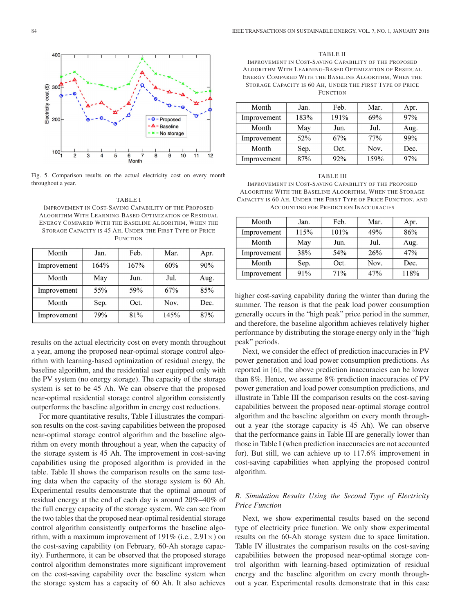

Fig. 5. Comparison results on the actual electricity cost on every month throughout a year.

#### TABLE I

IMPROVEMENT IN COST-SAVING CAPABILITY OF THE PROPOSED ALGORITHM WITH LEARNING-BASED OPTIMIZATION OF RESIDUAL ENERGY COMPARED WITH THE BASELINE ALGORITHM, WHEN THE STORAGE CAPACITY IS 45 AH, UNDER THE FIRST TYPE OF PRICE FUNCTION

| Month       | Jan. | Feb. | Mar. | Apr. |
|-------------|------|------|------|------|
| Improvement | 164% | 167% | 60%  | 90%  |
| Month       | May  | Jun. | Jul. | Aug. |
| Improvement | 55%  | 59%  | 67%  | 85%  |
| Month       | Sep. | Oct. | Nov. | Dec. |
| Improvement | 79%  | 81%  | 145% | 87%  |

results on the actual electricity cost on every month throughout a year, among the proposed near-optimal storage control algorithm with learning-based optimization of residual energy, the baseline algorithm, and the residential user equipped only with the PV system (no energy storage). The capacity of the storage system is set to be 45 Ah. We can observe that the proposed near-optimal residential storage control algorithm consistently outperforms the baseline algorithm in energy cost reductions.

For more quantitative results, Table I illustrates the comparison results on the cost-saving capabilities between the proposed near-optimal storage control algorithm and the baseline algorithm on every month throughout a year, when the capacity of the storage system is 45 Ah. The improvement in cost-saving capabilities using the proposed algorithm is provided in the table. Table II shows the comparison results on the same testing data when the capacity of the storage system is 60 Ah. Experimental results demonstrate that the optimal amount of residual energy at the end of each day is around 20%–40% of the full energy capacity of the storage system. We can see from the two tables that the proposed near-optimal residential storage control algorithm consistently outperforms the baseline algorithm, with a maximum improvement of 191% (i.e.,  $2.91 \times$ ) on the cost-saving capability (on February, 60-Ah storage capacity). Furthermore, it can be observed that the proposed storage control algorithm demonstrates more significant improvement on the cost-saving capability over the baseline system when the storage system has a capacity of 60 Ah. It also achieves

TABLE II IMPROVEMENT IN COST-SAVING CAPABILITY OF THE PROPOSED ALGORITHM WITH LEARNING-BASED OPTIMIZATION OF RESIDUAL ENERGY COMPARED WITH THE BASELINE ALGORITHM, WHEN THE STORAGE CAPACITY IS 60 AH, UNDER THE FIRST TYPE OF PRICE **FUNCTION** 

| Month       | Jan. | Feb. | Mar. | Apr. |
|-------------|------|------|------|------|
| Improvement | 183% | 191% | 69%  | 97%  |
| Month       | May  | Jun. | Jul. | Aug. |
| Improvement | 52%  | 67%  | 77%  | 99%  |
| Month       | Sep. | Oct. | Nov. | Dec. |
| Improvement | 87%  | 92%  | 159% | 97%  |

#### TABLE III

IMPROVEMENT IN COST-SAVING CAPABILITY OF THE PROPOSED ALGORITHM WITH THE BASELINE ALGORITHM, WHEN THE STORAGE CAPACITY IS 60 AH, UNDER THE FIRST TYPE OF PRICE FUNCTION, AND ACCOUNTING FOR PREDICTION INACCURACIES

| Month       | Jan. | Feb. | Mar. | Apr. |
|-------------|------|------|------|------|
| Improvement | 115% | 101% | 49%  | 86%  |
| Month       | May  | Jun. | Jul. | Aug. |
| Improvement | 38%  | 54%  | 26%  | 47%  |
| Month       | Sep. | Oct. | Nov. | Dec. |
| Improvement | 91%  | 71%  | 47%  | 118% |

higher cost-saving capability during the winter than during the summer. The reason is that the peak load power consumption generally occurs in the "high peak" price period in the summer, and therefore, the baseline algorithm achieves relatively higher performance by distributing the storage energy only in the "high peak" periods.

Next, we consider the effect of prediction inaccuracies in PV power generation and load power consumption predictions. As reported in [6], the above prediction inaccuracies can be lower than 8%. Hence, we assume 8% prediction inaccuracies of PV power generation and load power consumption predictions, and illustrate in Table III the comparison results on the cost-saving capabilities between the proposed near-optimal storage control algorithm and the baseline algorithm on every month throughout a year (the storage capacity is 45 Ah). We can observe that the performance gains in Table III are generally lower than those in Table I (when prediction inaccuracies are not accounted for). But still, we can achieve up to 117.6% improvement in cost-saving capabilities when applying the proposed control algorithm.

# *B. Simulation Results Using the Second Type of Electricity Price Function*

Next, we show experimental results based on the second type of electricity price function. We only show experimental results on the 60-Ah storage system due to space limitation. Table IV illustrates the comparison results on the cost-saving capabilities between the proposed near-optimal storage control algorithm with learning-based optimization of residual energy and the baseline algorithm on every month throughout a year. Experimental results demonstrate that in this case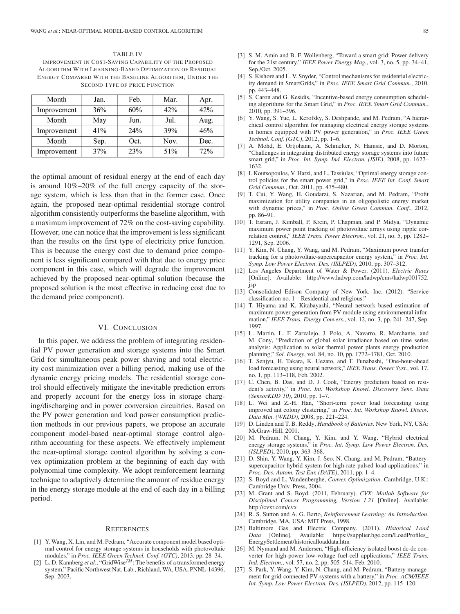TABLE IV IMPROVEMENT IN COST-SAVING CAPABILITY OF THE PROPOSED ALGORITHM WITH LEARNING-BASED OPTIMIZATION OF RESIDUAL ENERGY COMPARED WITH THE BASELINE ALGORITHM, UNDER THE SECOND TYPE OF PRICE FUNCTION

| Month       | Jan. | Feb. | Mar. | Apr. |
|-------------|------|------|------|------|
| Improvement | 36%  | 60%  | 42%  | 42%  |
| Month       | May  | Jun. | Jul. | Aug. |
| Improvement | 41%  | 24%  | 39%  | 46%  |
| Month       | Sep. | Oct. | Nov. | Dec. |
| Improvement | 37%  | 23%  | 51%  | 72%  |

the optimal amount of residual energy at the end of each day is around 10%–20% of the full energy capacity of the storage system, which is less than that in the former case. Once again, the proposed near-optimal residential storage control algorithm consistently outperforms the baseline algorithm, with a maximum improvement of 72% on the cost-saving capability. However, one can notice that the improvement is less significant than the results on the first type of electricity price function. This is because the energy cost due to demand price component is less significant compared with that due to energy price component in this case, which will degrade the improvement achieved by the proposed near-optimal solution (because the proposed solution is the most effective in reducing cost due to the demand price component).

## VI. CONCLUSION

In this paper, we address the problem of integrating residential PV power generation and storage systems into the Smart Grid for simultaneous peak power shaving and total electricity cost minimization over a billing period, making use of the dynamic energy pricing models. The residential storage control should effectively mitigate the inevitable prediction errors and properly account for the energy loss in storage charging/discharging and in power conversion circuitries. Based on the PV power generation and load power consumption prediction methods in our previous papers, we propose an accurate component model-based near-optimal storage control algorithm accounting for these aspects. We effectively implement the near-optimal storage control algorithm by solving a convex optimization problem at the beginning of each day with polynomial time complexity. We adopt reinforcement learning technique to adaptively determine the amount of residue energy in the energy storage module at the end of each day in a billing period.

#### **REFERENCES**

- [1] Y. Wang, X. Lin, and M. Pedram, "Accurate component model based optimal control for energy storage systems in households with photovoltaic modules," in *Proc. IEEE Green Technol. Conf. (GTC)*, 2013, pp. 28–34.
- [2] L. D. Kannberg *et al.*, "GridWise<sup>TM</sup>: The benefits of a transformed energy system," Pacific Northwest Nat. Lab., Richland, WA, USA, PNNL-14396, Sep. 2003.
- [3] S. M. Amin and B. F. Wollenberg, "Toward a smart grid: Power delivery for the 21st century," *IEEE Power Energy Mag.*, vol. 3, no. 5, pp. 34–41, Sep./Oct. 2005.
- [4] S. Kishore and L. V. Snyder, "Control mechanisms for residential electricity demand in SmartGrids," in *Proc. IEEE Smart Grid Commun.*, 2010, pp. 443–448.
- [5] S. Caron and G. Kesidis, "Incentive-based energy consumption scheduling algorithms for the Smart Grid," in *Proc. IEEE Smart Grid Commun.*, 2010, pp. 391–396.
- [6] Y. Wang, S. Yue, L. Kerofsky, S. Deshpande, and M. Pedram, "A hierarchical control algorithm for managing electrical energy storage systems in homes equipped with PV power generation," in *Proc. IEEE Green Technol. Conf. (GTC)*, 2012, pp. 1–6.
- [7] A. Mohd, E. Ortjohann, A. Schmelter, N. Hamsic, and D. Morton, "Challenges in integrating distributed energy storage systems into future smart grid," in *Proc. Int. Symp. Ind. Electron. (ISIE)*, 2008, pp. 1627– 1632.
- [8] I. Koutsopoulos, V. Hatzi, and L. Tassiulas, "Optimal energy storage control policies for the smart power grid," in *Proc. IEEE Int. Conf. Smart Grid Commun.*, Oct. 2011, pp. 475–480.
- [9] T. Cui, Y. Wang, H. Goudarzi, S. Nazarian, and M. Pedram, "Profit maximization for utility companies in an oligopolistic energy market with dynamic prices," in *Proc. Online Green Commun. Conf.*, 2012, pp. 86–91.
- [10] T. Esram, J. Kimball, P. Krein, P. Chapman, and P. Midya, "Dynamic maximum power point tracking of photovoltaic arrays using ripple correlation control," *IEEE Trans. Power Electron.*, vol. 21, no. 5, pp. 1282– 1291, Sep. 2006.
- [11] Y. Kim, N. Chang, Y. Wang, and M. Pedram, "Maximum power transfer tracking for a photovoltaic-supercapacitor energy system," in *Proc. Int. Symp. Low Power Electron. Des. (ISLPED)*, 2010, pp. 307–312.
- [12] Los Angeles Department of Water & Power. (2011). *Electric Rates* [Online]. Available: http://www.ladwp.com/ladwp/cms/ladwp001752. jsp
- [13] Consolidated Edison Company of New York, Inc. (2012). "Service classification no. 1—Residential and religious.'
- [14] T. Hiyama and K. Kitabayashi, "Neural network based estimation of maximum power generation from PV module using environmental information," *IEEE Trans. Energy Convers.*, vol. 12, no. 3, pp. 241–247, Sep. 1997.
- [15] L. Martin, L. F. Zarzalejo, J. Polo, A. Navarro, R. Marchante, and M. Cony, "Prediction of global solar irradiance based on time series analysis: Application to solar thermal power plants energy production planning," *Sol. Energy*, vol. 84, no. 10, pp. 1772–1781, Oct. 2010.
- [16] T. Senjyu, H. Takara, K. Uezato, and T. Funabashi, "One-hour-ahead load forecasting using neural network," *IEEE Trans. Power Syst.*, vol. 17, no. 1, pp. 113–118, Feb. 2002.
- [17] C. Chen, B. Das, and D. J. Cook, "Energy prediction based on resident's activity," in *Proc. Int. Workshop Knowl. Discovery Sens. Data (SensorKDD'10)*, 2010, pp. 1–7.
- [18] L. Wei and Z.-H. Han, "Short-term power load forecasting using improved ant colony clustering," in *Proc. Int. Workshop Knowl. Discov. Data Min. (WKDD)*, 2008, pp. 221–224.
- [19] D. Linden and T. B. Reddy, *Handbook of Batteries*. New York, NY, USA: McGraw-Hill, 2001.
- [20] M. Pedram, N. Chang, Y. Kim, and Y. Wang, "Hybrid electrical energy storage systems," in *Proc. Int. Symp. Low Power Electron. Des. (ISLPED)*, 2010, pp. 363–368.
- [21] D. Shin, Y. Wang, Y. Kim, J. Seo, N. Chang, and M. Pedram, "Batterysupercapacitor hybrid system for high-rate pulsed load applications," in *Proc. Des. Autom. Test Eur. (DATE)*, 2011, pp. 1–4.
- [22] S. Boyd and L. Vandenberghe, *Convex Optimization*. Cambridge, U.K.: Cambridge Univ. Press, 2004.
- [23] M. Grant and S. Boyd. (2011, February). *CVX: Matlab Software for Disciplined Convex Programming, Version 1.21* [Online]. Available: http://cvxr.com/cvx
- [24] R. S. Sutton and A. G. Barto, *Reinforcement Learning: An Introduction*. Cambridge, MA, USA: MIT Press, 1998.
- [25] Baltimore Gas and Electric Company. (2011). *Historical Load Data* [Online]. Available: https://supplier.bge.com/LoadProfiles\_ EnergySettlement/historicalloaddata.htm
- [26] M. Nymand and M. Andersen, "High-efficiency isolated boost dc-dc converter for high-power low-voltage fuel-cell applications," *IEEE Trans. Ind. Electron.*, vol. 57, no. 2, pp. 505–514, Feb. 2010.
- [27] S. Park, Y. Wang, Y. Kim, N. Chang, and M. Pedram, "Battery management for grid-connected PV systems with a battery," in *Proc. ACM/IEEE Int. Symp. Low Power Electron. Des. (ISLPED)*, 2012, pp. 115–120.